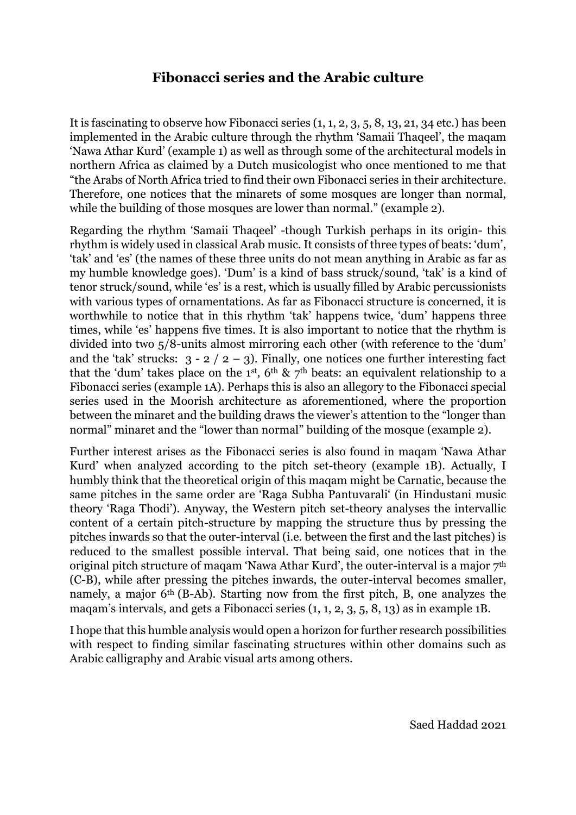## **Fibonacci series and the Arabic culture**

It is fascinating to observe how Fibonacci series (1, 1, 2, 3, 5, 8, 13, 21, 34 etc.) has been implemented in the Arabic culture through the rhythm 'Samaii Thaqeel', the maqam 'Nawa Athar Kurd' (example 1) as well as through some of the architectural models in northern Africa as claimed by a Dutch musicologist who once mentioned to me that "the Arabs of North Africa tried to find their own Fibonacci series in their architecture. Therefore, one notices that the minarets of some mosques are longer than normal, while the building of those mosques are lower than normal." (example 2).

Regarding the rhythm 'Samaii Thaqeel' -though Turkish perhaps in its origin- this rhythm is widely used in classical Arab music. It consists of three types of beats: 'dum', 'tak' and 'es' (the names of these three units do not mean anything in Arabic as far as my humble knowledge goes). 'Dum' is a kind of bass struck/sound, 'tak' is a kind of tenor struck/sound, while 'es' is a rest, which is usually filled by Arabic percussionists with various types of ornamentations. As far as Fibonacci structure is concerned, it is worthwhile to notice that in this rhythm 'tak' happens twice, 'dum' happens three times, while 'es' happens five times. It is also important to notice that the rhythm is divided into two 5/8-units almost mirroring each other (with reference to the 'dum' and the 'tak' strucks:  $3 - 2 / 2 - 3$ ). Finally, one notices one further interesting fact that the 'dum' takes place on the 1<sup>st</sup>,  $6<sup>th</sup>$  &  $7<sup>th</sup>$  beats: an equivalent relationship to a Fibonacci series (example 1A). Perhaps this is also an allegory to the Fibonacci special series used in the Moorish architecture as aforementioned, where the proportion between the minaret and the building draws the viewer's attention to the "longer than normal" minaret and the "lower than normal" building of the mosque (example 2).

Further interest arises as the Fibonacci series is also found in maqam 'Nawa Athar Kurd' when analyzed according to the pitch set-theory (example 1B). Actually, I humbly think that the theoretical origin of this maqam might be Carnatic, because the same pitches in the same order are 'Raga Subha Pantuvarali' (in Hindustani music theory 'Raga Thodi'). Anyway, the Western pitch set-theory analyses the intervallic content of a certain pitch-structure by mapping the structure thus by pressing the pitches inwards so that the outer-interval (i.e. between the first and the last pitches) is reduced to the smallest possible interval. That being said, one notices that in the original pitch structure of maqam 'Nawa Athar Kurd', the outer-interval is a major 7<sup>th</sup> (C-B), while after pressing the pitches inwards, the outer-interval becomes smaller, namely, a major 6<sup>th</sup> (B-Ab). Starting now from the first pitch, B, one analyzes the maqam's intervals, and gets a Fibonacci series (1, 1, 2, 3, 5, 8, 13) as in example 1B.

I hope that this humble analysis would open a horizon for further research possibilities with respect to finding similar fascinating structures within other domains such as Arabic calligraphy and Arabic visual arts among others.